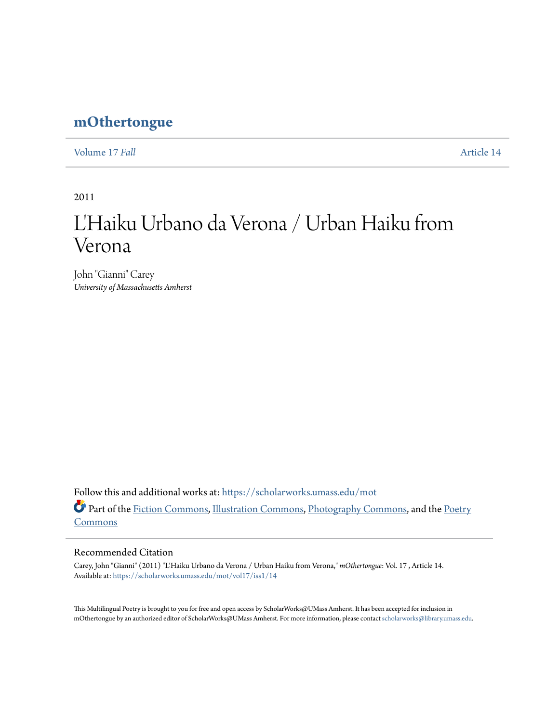## **[mOthertongue](https://scholarworks.umass.edu/mot?utm_source=scholarworks.umass.edu%2Fmot%2Fvol17%2Fiss1%2F14&utm_medium=PDF&utm_campaign=PDFCoverPages)**

[Volume 17](https://scholarworks.umass.edu/mot/vol17?utm_source=scholarworks.umass.edu%2Fmot%2Fvol17%2Fiss1%2F14&utm_medium=PDF&utm_campaign=PDFCoverPages) *Fall* [Article 14](https://scholarworks.umass.edu/mot/vol17/iss1/14?utm_source=scholarworks.umass.edu%2Fmot%2Fvol17%2Fiss1%2F14&utm_medium=PDF&utm_campaign=PDFCoverPages)

2011

## L'Haiku Urbano da Verona / Urban Haiku from Verona

John "Gianni" Carey *University of Massachusetts Amherst*

Follow this and additional works at: [https://scholarworks.umass.edu/mot](https://scholarworks.umass.edu/mot?utm_source=scholarworks.umass.edu%2Fmot%2Fvol17%2Fiss1%2F14&utm_medium=PDF&utm_campaign=PDFCoverPages) Part of the [Fiction Commons](http://network.bepress.com/hgg/discipline/1151?utm_source=scholarworks.umass.edu%2Fmot%2Fvol17%2Fiss1%2F14&utm_medium=PDF&utm_campaign=PDFCoverPages), [Illustration Commons,](http://network.bepress.com/hgg/discipline/1135?utm_source=scholarworks.umass.edu%2Fmot%2Fvol17%2Fiss1%2F14&utm_medium=PDF&utm_campaign=PDFCoverPages) [Photography Commons,](http://network.bepress.com/hgg/discipline/1142?utm_source=scholarworks.umass.edu%2Fmot%2Fvol17%2Fiss1%2F14&utm_medium=PDF&utm_campaign=PDFCoverPages) and the [Poetry](http://network.bepress.com/hgg/discipline/1153?utm_source=scholarworks.umass.edu%2Fmot%2Fvol17%2Fiss1%2F14&utm_medium=PDF&utm_campaign=PDFCoverPages) [Commons](http://network.bepress.com/hgg/discipline/1153?utm_source=scholarworks.umass.edu%2Fmot%2Fvol17%2Fiss1%2F14&utm_medium=PDF&utm_campaign=PDFCoverPages)

## Recommended Citation

Carey, John "Gianni" (2011) "L'Haiku Urbano da Verona / Urban Haiku from Verona," *mOthertongue*: Vol. 17 , Article 14. Available at: [https://scholarworks.umass.edu/mot/vol17/iss1/14](https://scholarworks.umass.edu/mot/vol17/iss1/14?utm_source=scholarworks.umass.edu%2Fmot%2Fvol17%2Fiss1%2F14&utm_medium=PDF&utm_campaign=PDFCoverPages)

This Multilingual Poetry is brought to you for free and open access by ScholarWorks@UMass Amherst. It has been accepted for inclusion in mOthertongue by an authorized editor of ScholarWorks@UMass Amherst. For more information, please contact [scholarworks@library.umass.edu](mailto:scholarworks@library.umass.edu).